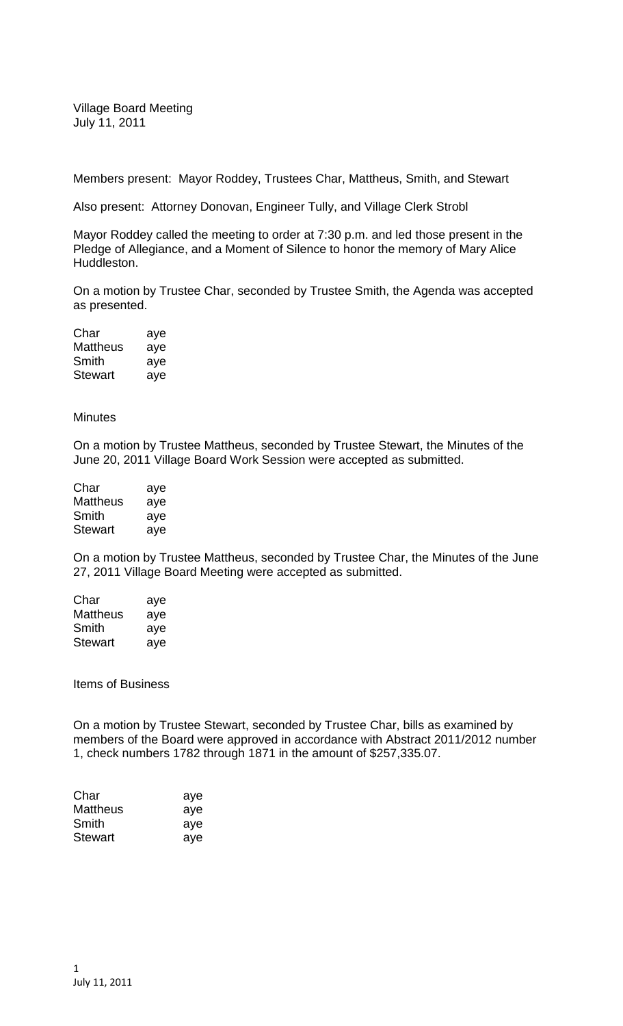Village Board Meeting July 11, 2011

Members present: Mayor Roddey, Trustees Char, Mattheus, Smith, and Stewart

Also present: Attorney Donovan, Engineer Tully, and Village Clerk Strobl

Mayor Roddey called the meeting to order at 7:30 p.m. and led those present in the Pledge of Allegiance, and a Moment of Silence to honor the memory of Mary Alice Huddleston.

On a motion by Trustee Char, seconded by Trustee Smith, the Agenda was accepted as presented.

| Char            | aye |
|-----------------|-----|
| <b>Mattheus</b> | aye |
| Smith           | aye |
| <b>Stewart</b>  | aye |

**Minutes** 

On a motion by Trustee Mattheus, seconded by Trustee Stewart, the Minutes of the June 20, 2011 Village Board Work Session were accepted as submitted.

| Char           | aye |
|----------------|-----|
| Mattheus       | aye |
| Smith          | aye |
| <b>Stewart</b> | aye |

On a motion by Trustee Mattheus, seconded by Trustee Char, the Minutes of the June 27, 2011 Village Board Meeting were accepted as submitted.

| Char           | aye |
|----------------|-----|
| Mattheus       | aye |
| Smith          | aye |
| <b>Stewart</b> | aye |

Items of Business

On a motion by Trustee Stewart, seconded by Trustee Char, bills as examined by members of the Board were approved in accordance with Abstract 2011/2012 number 1, check numbers 1782 through 1871 in the amount of \$257,335.07.

| aye |
|-----|
| aye |
| ave |
| ave |
|     |